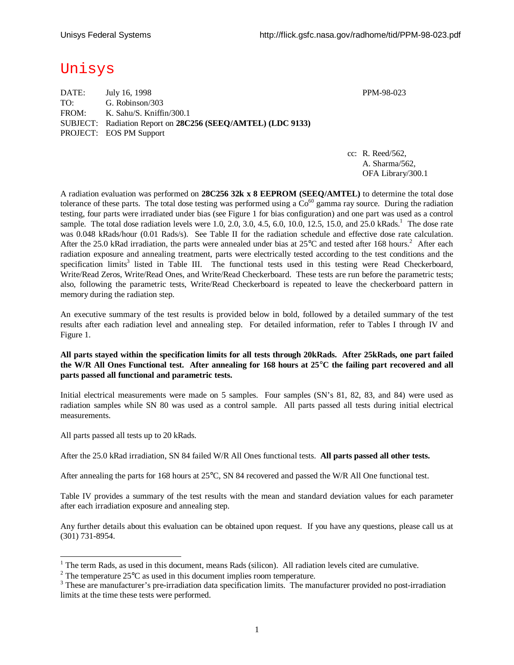# Unisys

| DATE: | July 16, 1998                                               |
|-------|-------------------------------------------------------------|
| TO:   | G. Robinson/303                                             |
| FROM: | K. Sahu/S. Kniffin/300.1                                    |
|       | SUBJECT: Radiation Report on 28C256 (SEEQ/AMTEL) (LDC 9133) |
|       | <b>PROJECT: EOS PM Support</b>                              |

PPM-98-023

cc: R. Reed/562, A. Sharma/562, OFA Library/300.1

A radiation evaluation was performed on **28C256 32k x 8 EEPROM (SEEQ/AMTEL)** to determine the total dose tolerance of these parts. The total dose testing was performed using a  $Co<sup>60</sup>$  gamma ray source. During the radiation testing, four parts were irradiated under bias (see Figure 1 for bias configuration) and one part was used as a control sample. The total dose radiation levels were 1.0, 2.0, 3.0, 4.5, 6.0, 10.0, 12.5, 15.0, and 25.0 kRads.<sup>1</sup> The dose rate was 0.048 kRads/hour (0.01 Rads/s). See Table II for the radiation schedule and effective dose rate calculation. After the 25.0 kRad irradiation, the parts were annealed under bias at  $25^{\circ}$ C and tested after 168 hours.<sup>2</sup> After each radiation exposure and annealing treatment, parts were electrically tested according to the test conditions and the specification limits<sup>3</sup> listed in Table III. The functional tests used in this testing were Read Checkerboard, Write/Read Zeros, Write/Read Ones, and Write/Read Checkerboard. These tests are run before the parametric tests; also, following the parametric tests, Write/Read Checkerboard is repeated to leave the checkerboard pattern in memory during the radiation step.

An executive summary of the test results is provided below in bold, followed by a detailed summary of the test results after each radiation level and annealing step. For detailed information, refer to Tables I through IV and Figure 1.

### **All parts stayed within the specification limits for all tests through 20kRads. After 25kRads, one part failed the W/R All Ones Functional test. After annealing for 168 hours at 25°C the failing part recovered and all parts passed all functional and parametric tests.**

Initial electrical measurements were made on 5 samples. Four samples (SN's 81, 82, 83, and 84) were used as radiation samples while SN 80 was used as a control sample. All parts passed all tests during initial electrical measurements.

All parts passed all tests up to 20 kRads.

-

After the 25.0 kRad irradiation, SN 84 failed W/R All Ones functional tests. **All parts passed all other tests.**

After annealing the parts for 168 hours at 25°C, SN 84 recovered and passed the W/R All One functional test.

Table IV provides a summary of the test results with the mean and standard deviation values for each parameter after each irradiation exposure and annealing step.

Any further details about this evaluation can be obtained upon request. If you have any questions, please call us at (301) 731-8954.

 $1$  The term Rads, as used in this document, means Rads (silicon). All radiation levels cited are cumulative.

<sup>&</sup>lt;sup>2</sup> The temperature 25 $^{\circ}$ C as used in this document implies room temperature.

<sup>&</sup>lt;sup>3</sup> These are manufacturer's pre-irradiation data specification limits. The manufacturer provided no post-irradiation limits at the time these tests were performed.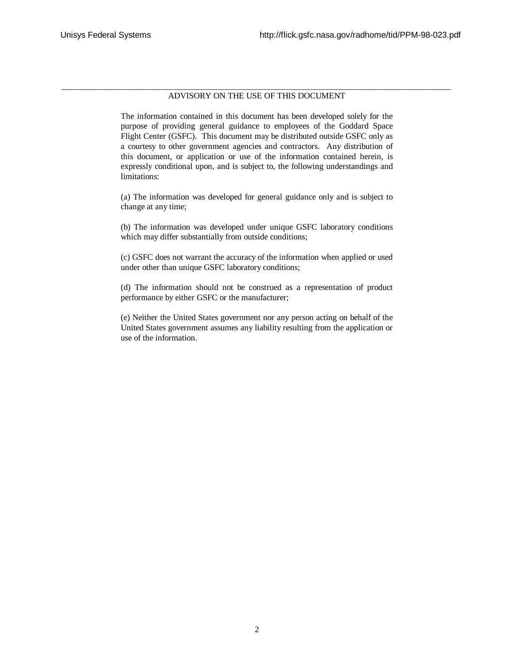#### \_\_\_\_\_\_\_\_\_\_\_\_\_\_\_\_\_\_\_\_\_\_\_\_\_\_\_\_\_\_\_\_\_\_\_\_\_\_\_\_\_\_\_\_\_\_\_\_\_\_\_\_\_\_\_\_\_\_\_\_\_\_\_\_\_\_\_\_\_\_\_\_\_\_\_\_\_\_\_\_\_\_\_\_\_\_\_\_\_\_\_\_ ADVISORY ON THE USE OF THIS DOCUMENT

The information contained in this document has been developed solely for the purpose of providing general guidance to employees of the Goddard Space Flight Center (GSFC). This document may be distributed outside GSFC only as a courtesy to other government agencies and contractors. Any distribution of this document, or application or use of the information contained herein, is expressly conditional upon, and is subject to, the following understandings and limitations:

(a) The information was developed for general guidance only and is subject to change at any time;

(b) The information was developed under unique GSFC laboratory conditions which may differ substantially from outside conditions;

(c) GSFC does not warrant the accuracy of the information when applied or used under other than unique GSFC laboratory conditions;

(d) The information should not be construed as a representation of product performance by either GSFC or the manufacturer;

(e) Neither the United States government nor any person acting on behalf of the United States government assumes any liability resulting from the application or use of the information.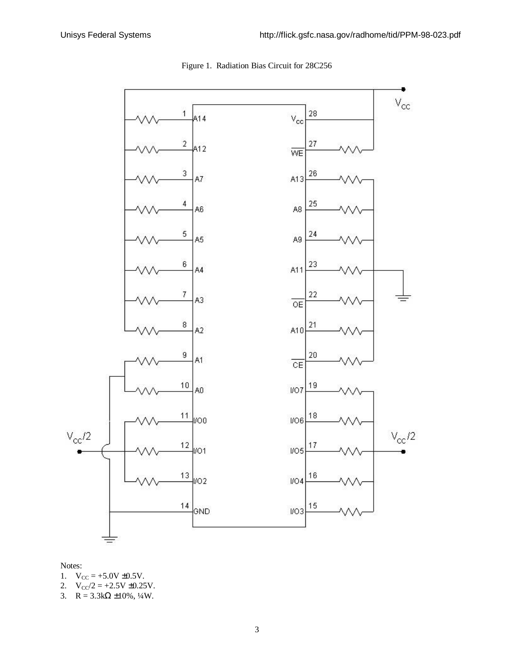

## Figure 1. Radiation Bias Circuit for 28C256

#### Notes:

- 1.  $V_{CC} = +5.0V \pm 0.5V$ .
- 2.  $V_{CC}/2 = +2.5V \pm 0.25V$ .
- 3.  $R = 3.3k\Omega \pm 10\%, \frac{1}{4}W$ .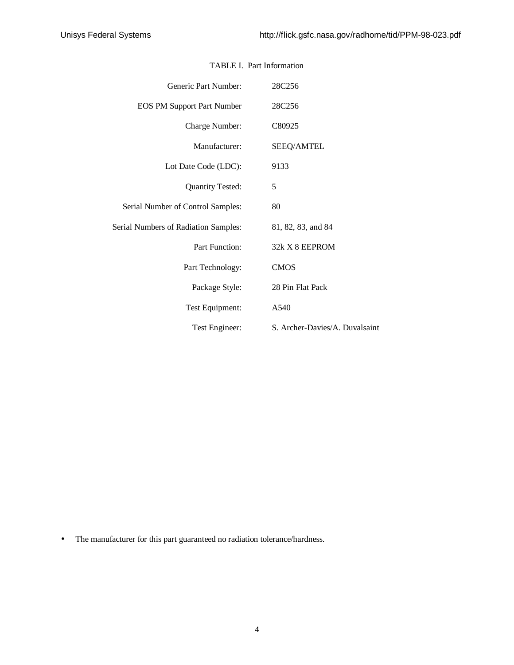| Generic Part Number:                 | 28C256                         |
|--------------------------------------|--------------------------------|
| <b>EOS PM Support Part Number</b>    | 28C256                         |
| Charge Number:                       | C80925                         |
| Manufacturer:                        | <b>SEEQ/AMTEL</b>              |
| Lot Date Code (LDC):                 | 9133                           |
| <b>Quantity Tested:</b>              | 5                              |
| Serial Number of Control Samples:    | 80                             |
| Serial Numbers of Radiation Samples: | 81, 82, 83, and 84             |
| Part Function:                       | 32k X 8 EEPROM                 |
| Part Technology:                     | <b>CMOS</b>                    |
| Package Style:                       | 28 Pin Flat Pack               |
| Test Equipment:                      | A540                           |
| Test Engineer:                       | S. Archer-Davies/A. Duvalsaint |

## TABLE I. Part Information

• The manufacturer for this part guaranteed no radiation tolerance/hardness.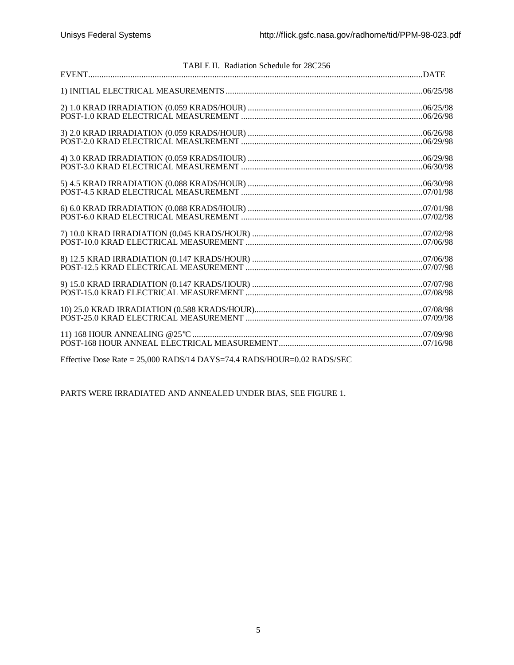| TABLE II. Radiation Schedule for 28C256 |  |
|-----------------------------------------|--|
|                                         |  |
|                                         |  |
|                                         |  |
|                                         |  |
|                                         |  |
|                                         |  |
|                                         |  |
|                                         |  |
|                                         |  |
|                                         |  |
|                                         |  |
|                                         |  |
|                                         |  |
|                                         |  |
|                                         |  |
|                                         |  |
|                                         |  |
|                                         |  |
|                                         |  |
|                                         |  |
|                                         |  |
|                                         |  |

Effective Dose Rate = 25,000 RADS/14 DAYS=74.4 RADS/HOUR=0.02 RADS/SEC

PARTS WERE IRRADIATED AND ANNEALED UNDER BIAS, SEE FIGURE 1.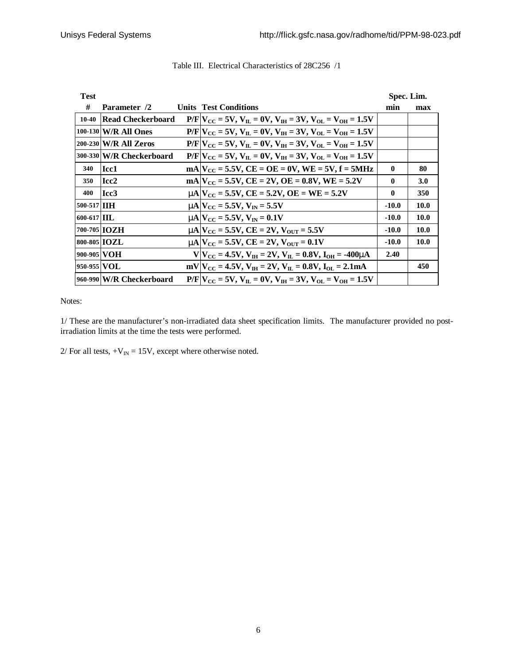| <b>Test</b>         |                            |                                                                              |              | Spec. Lim.  |
|---------------------|----------------------------|------------------------------------------------------------------------------|--------------|-------------|
| #                   | Parameter /2               | <b>Units Test Conditions</b>                                                 | min          | max         |
| $10-40$             | <b>Read Checkerboard</b>   | $P/F V_{CC} = 5V$ , $V_{IL} = 0V$ , $V_{IH} = 3V$ , $V_{OL} = V_{OH} = 1.5V$ |              |             |
|                     | 100-130 W/R All Ones       | $P/F V_{CC} = 5V$ , $V_{H} = 0V$ , $V_{H} = 3V$ , $V_{O} = V_{OH} = 1.5V$    |              |             |
|                     | 200-230 W/R All Zeros      | $P/F V_{CC} = 5V$ , $V_{H} = 0V$ , $V_{H} = 3V$ , $V_{O} = V_{OH} = 1.5V$    |              |             |
|                     | 300-330 W/R Checkerboard   | $P/F V_{CC} = 5V$ , $V_{H} = 0V$ , $V_{H} = 3V$ , $V_{OL} = V_{OH} = 1.5V$   |              |             |
| 340                 | Icc1                       | $mA V_{CC} = 5.5V$ , $CE = OE = 0V$ , $WE = 5V$ , $f = 5MHz$                 | $\mathbf{0}$ | 80          |
| 350                 | Icc2                       | $mA V_{CC} = 5.5V$ , $CE = 2V$ , $OE = 0.8V$ , $WE = 5.2V$                   | $\mathbf{0}$ | <b>3.0</b>  |
| 400                 | Icc <sub>3</sub>           | $mA V_{CC} = 5.5V$ , $CE = 5.2V$ , $OE = WE = 5.2V$                          | $\mathbf{0}$ | 350         |
| 500-517 <b>IIH</b>  |                            | $mN_{\rm CC} = 5.5V, V_{\rm IN} = 5.5V$                                      | $-10.0$      | <b>10.0</b> |
| 600-617 IIL         |                            | $mN_{\text{CC}} = 5.5V, V_{\text{IN}} = 0.1V$                                | $-10.0$      | <b>10.0</b> |
| 700-705 <b>IOZH</b> |                            | $mA$ $V_{CC}$ = 5.5V, CE = 2V, $V_{OUT}$ = 5.5V                              | $-10.0$      | <b>10.0</b> |
| 800-805 <b>IOZL</b> |                            | $mA$ $V_{CC}$ = 5.5V, $CE = 2V$ , $V_{OUT} = 0.1V$                           | $-10.0$      | <b>10.0</b> |
| 900-905 VOH         |                            | $V V_{CC} = 4.5V, V_{IH} = 2V, V_{IL} = 0.8V, I_{OH} = -400$ mA              | 2.40         |             |
| 950-955 VOL         |                            | $mV V_{CC} = 4.5V$ , $V_{IH} = 2V$ , $V_{II} = 0.8V$ , $I_{OL} = 2.1mA$      |              | 450         |
|                     | [960-990] W/R Checkerboard | $P/F V_{CC} = 5V$ , $V_{H} = 0V$ , $V_{H} = 3V$ , $V_{O} = V_{OH} = 1.5V$    |              |             |

## Table III. Electrical Characteristics of 28C256 /1

Notes:

1/ These are the manufacturer's non-irradiated data sheet specification limits. The manufacturer provided no postirradiation limits at the time the tests were performed.

 $2/$  For all tests,  $+V_{IN} = 15V$ , except where otherwise noted.